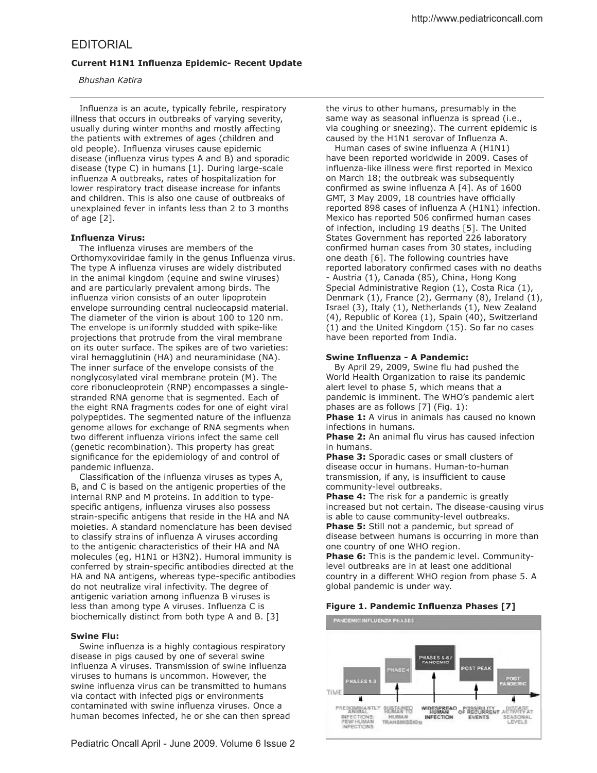# **Current H1N1 Influenza Epidemic- Recent Update**

 *Bhushan Katira*

Influenza is an acute, typically febrile, respiratory illness that occurs in outbreaks of varying severity, usually during winter months and mostly afecting the patients with extremes of ages (children and old people). Influenza viruses cause epidemic disease (influenza virus types A and B) and sporadic disease (type C) in humans [1]. During large-scale influenza A outbreaks, rates of hospitalization for lower respiratory tract disease increase for infants and children. This is also one cause of outbreaks of unexplained fever in infants less than 2 to 3 months of age [2].

## **Influenza Virus:**

The influenza viruses are members of the Orthomyxoviridae family in the genus Influenza virus. The type A influenza viruses are widely distributed in the animal kingdom (equine and swine viruses) and are particularly prevalent among birds. The influenza virion consists of an outer lipoprotein envelope surrounding central nucleocapsid material. The diameter of the virion is about 100 to 120 nm. The envelope is uniformly studded with spike-like projections that protrude from the viral membrane on its outer surface. The spikes are of two varieties: viral hemagglutinin (HA) and neuraminidase (NA). The inner surface of the envelope consists of the nonglycosylated viral membrane protein (M). The core ribonucleoprotein (RNP) encompasses a singlestranded RNA genome that is segmented. Each of the eight RNA fragments codes for one of eight viral polypeptides. The segmented nature of the influenza genome allows for exchange of RNA segments when two different influenza virions infect the same cell (genetic recombination). This property has great significance for the epidemiology of and control of pandemic influenza.

Classification of the influenza viruses as types A, B, and C is based on the antigenic properties of the internal RNP and M proteins. In addition to typespecific antigens, influenza viruses also possess strain-specific antigens that reside in the HA and NA moieties. A standard nomenclature has been devised to classify strains of influenza A viruses according to the antigenic characteristics of their HA and NA molecules (eg, H1N1 or H3N2). Humoral immunity is conferred by strain-specific antibodies directed at the HA and NA antigens, whereas type-specific antibodies do not neutralize viral infectivity. The degree of antigenic variation among influenza B viruses is less than among type A viruses. Influenza C is biochemically distinct from both type A and B. [3]

# **Swine Flu:**

Swine influenza is a highly contagious respiratory disease in pigs caused by one of several swine influenza A viruses. Transmission of swine influenza viruses to humans is uncommon. However, the swine influenza virus can be transmitted to humans via contact with infected pigs or environments contaminated with swine influenza viruses. Once a human becomes infected, he or she can then spread

Human cases of swine influenza A (H1N1) have been reported worldwide in 2009. Cases of influenza-like illness were first reported in Mexico on March 18; the outbreak was subsequently confirmed as swine influenza A  $[4]$ . As of 1600 GMT, 3 May 2009, 18 countries have officially reported 898 cases of influenza A (H1N1) infection. Mexico has reported 506 confirmed human cases of infection, including 19 deaths [5]. The United States Government has reported 226 laboratory confirmed human cases from 30 states, including one death [6]. The following countries have reported laboratory confirmed cases with no deaths - Austria (1), Canada (85), China, Hong Kong Special Administrative Region (1), Costa Rica (1), Denmark (1), France (2), Germany (8), Ireland (1), Israel (3), Italy (1), Netherlands (1), New Zealand (4), Republic of Korea (1), Spain (40), Switzerland (1) and the United Kingdom (15). So far no cases have been reported from India.

# **Swine Influenza - A Pandemic:**

By April 29, 2009, Swine flu had pushed the World Health Organization to raise its pandemic alert level to phase 5, which means that a pandemic is imminent. The WHO's pandemic alert phases are as follows [7] (Fig. 1):

**Phase 1:** A virus in animals has caused no known infections in humans.

**Phase 2:** An animal flu virus has caused infection in humans.

**Phase 3:** Sporadic cases or small clusters of disease occur in humans. Human-to-human transmission, if any, is insufficient to cause community-level outbreaks.

**Phase 4:** The risk for a pandemic is greatly increased but not certain. The disease-causing virus is able to cause community-level outbreaks. **Phase 5:** Still not a pandemic, but spread of disease between humans is occurring in more than one country of one WHO region.

**Phase 6:** This is the pandemic level. Communitylevel outbreaks are in at least one additional country in a diferent WHO region from phase 5. A global pandemic is under way.

# **Figure 1. Pandemic Influenza Phases [7]**

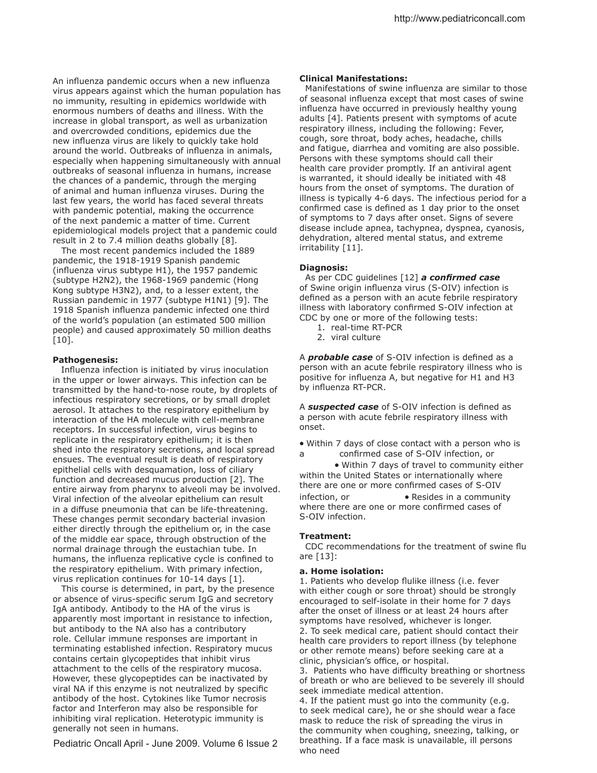An influenza pandemic occurs when a new influenza virus appears against which the human population has no immunity, resulting in epidemics worldwide with enormous numbers of deaths and illness. With the increase in global transport, as well as urbanization and overcrowded conditions, epidemics due the new influenza virus are likely to quickly take hold around the world. Outbreaks of influenza in animals, especially when happening simultaneously with annual outbreaks of seasonal influenza in humans, increase the chances of a pandemic, through the merging of animal and human influenza viruses. During the last few years, the world has faced several threats with pandemic potential, making the occurrence of the next pandemic a matter of time. Current epidemiological models project that a pandemic could result in 2 to 7.4 million deaths globally [8].

 The most recent pandemics included the 1889 pandemic, the 1918-1919 Spanish pandemic  $(influenza$  virus subtype  $H1$ ), the 1957 pandemic (subtype H2N2), the 1968-1969 pandemic (Hong Kong subtype H3N2), and, to a lesser extent, the Russian pandemic in 1977 (subtype H1N1) [9]. The 1918 Spanish influenza pandemic infected one third of the world's population (an estimated 500 million people) and caused approximately 50 million deaths [10].

#### **Pathogenesis:**

Influenza infection is initiated by virus inoculation in the upper or lower airways. This infection can be transmitted by the hand-to-nose route, by droplets of infectious respiratory secretions, or by small droplet aerosol. It attaches to the respiratory epithelium by interaction of the HA molecule with cell-membrane receptors. In successful infection, virus begins to replicate in the respiratory epithelium; it is then shed into the respiratory secretions, and local spread ensues. The eventual result is death of respiratory epithelial cells with desquamation, loss of ciliary function and decreased mucus production [2]. The entire airway from pharynx to alveoli may be involved. Viral infection of the alveolar epithelium can result in a difuse pneumonia that can be life-threatening. These changes permit secondary bacterial invasion either directly through the epithelium or, in the case of the middle ear space, through obstruction of the normal drainage through the eustachian tube. In humans, the influenza replicative cycle is confined to the respiratory epithelium. With primary infection, virus replication continues for 10-14 days [1].

 This course is determined, in part, by the presence or absence of virus-specific serum IgG and secretory IgA antibody. Antibody to the HA of the virus is apparently most important in resistance to infection, but antibody to the NA also has a contributory role. Cellular immune responses are important in terminating established infection. Respiratory mucus contains certain glycopeptides that inhibit virus attachment to the cells of the respiratory mucosa. However, these glycopeptides can be inactivated by viral NA if this enzyme is not neutralized by specific antibody of the host. Cytokines like Tumor necrosis factor and Interferon may also be responsible for inhibiting viral replication. Heterotypic immunity is generally not seen in humans.

Pediatric Oncall April - June 2009. Volume 6 Issue 2

#### **Clinical Manifestations:**

Manifestations of swine influenza are similar to those of seasonal influenza except that most cases of swine influenza have occurred in previously healthy young adults [4]. Patients present with symptoms of acute respiratory illness, including the following: Fever, cough, sore throat, body aches, headache, chills and fatigue, diarrhea and vomiting are also possible. Persons with these symptoms should call their health care provider promptly. If an antiviral agent is warranted, it should ideally be initiated with 48 hours from the onset of symptoms. The duration of illness is typically 4-6 days. The infectious period for a confirmed case is defined as 1 day prior to the onset of symptoms to 7 days after onset. Signs of severe disease include apnea, tachypnea, dyspnea, cyanosis, dehydration, altered mental status, and extreme irritability [11].

#### **Diagnosis:**

As per CDC guidelines [12] **a confirmed case** of Swine origin influenza virus (S-OIV) infection is defined as a person with an acute febrile respiratory illness with laboratory confirmed S-OIV infection at CDC by one or more of the following tests:

- 1. real-time RT-PCR
- 2. viral culture

A **probable case** of S-OIV infection is defined as a person with an acute febrile respiratory illness who is positive for influenza A, but negative for H1 and H3 by influenza RT-PCR.

A **suspected case** of S-OIV infection is defined as a person with acute febrile respiratory illness with onset.

• Within 7 days of close contact with a person who is a confirmed case of S-OIV infection, or

• Within 7 days of travel to community either within the United States or internationally where there are one or more confirmed cases of S-OIV infection, or **•** Resides in a community where there are one or more confirmed cases of S-OIV infection.

### **Treatment:**

CDC recommendations for the treatment of swine flu are [13]:

#### **a. Home isolation:**

1. Patients who develop flulike illness (i.e. fever with either cough or sore throat) should be strongly encouraged to self-isolate in their home for 7 days after the onset of illness or at least 24 hours after symptoms have resolved, whichever is longer. 2. To seek medical care, patient should contact their health care providers to report illness (by telephone or other remote means) before seeking care at a clinic, physician's office, or hospital.

3. Patients who have difficulty breathing or shortness of breath or who are believed to be severely ill should seek immediate medical attention.

4. If the patient must go into the community (e.g. to seek medical care), he or she should wear a face mask to reduce the risk of spreading the virus in the community when coughing, sneezing, talking, or breathing. If a face mask is unavailable, ill persons who need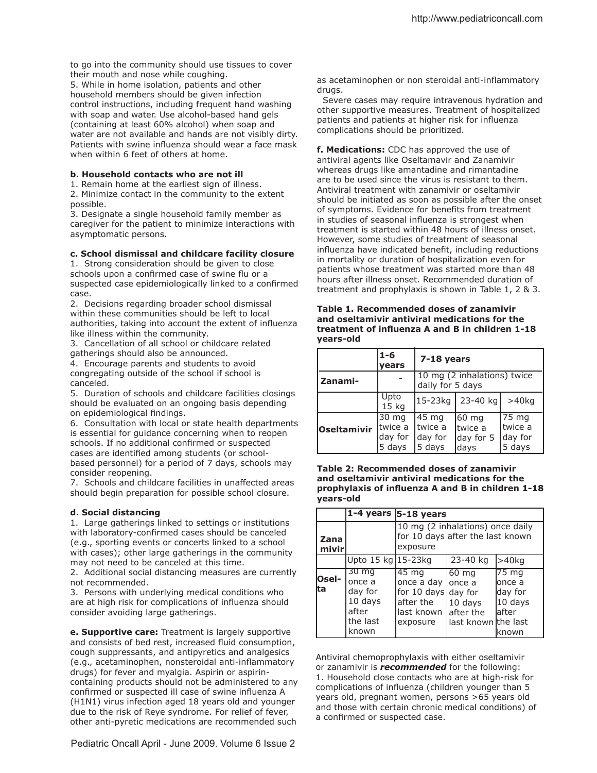to go into the community should use tissues to cover their mouth and nose while coughing. 5. While in home isolation, patients and other household members should be given infection control instructions, including frequent hand washing with soap and water. Use alcohol-based hand gels (containing at least 60% alcohol) when soap and water are not available and hands are not visibly dirty. Patients with swine influenza should wear a face mask when within 6 feet of others at home.

### **b. Household contacts who are not ill**

1. Remain home at the earliest sign of illness. 2. Minimize contact in the community to the extent possible.

3. Designate a single household family member as caregiver for the patient to minimize interactions with asymptomatic persons.

## **c. School dismissal and childcare facility closure**

1. Strong consideration should be given to close schools upon a confirmed case of swine flu or a suspected case epidemiologically linked to a confirmed case.

2. Decisions regarding broader school dismissal within these communities should be left to local authorities, taking into account the extent of influenza like illness within the community.

3. Cancellation of all school or childcare related gatherings should also be announced.

4. Encourage parents and students to avoid congregating outside of the school if school is canceled.

5. Duration of schools and childcare facilities closings should be evaluated on an ongoing basis depending on epidemiological findings.

6. Consultation with local or state health departments is essential for guidance concerning when to reopen schools. If no additional confirmed or suspected cases are identified among students (or schoolbased personnel) for a period of 7 days, schools may consider reopening.

7. Schools and childcare facilities in unafected areas should begin preparation for possible school closure.

## **d. Social distancing**

1. Large gatherings linked to settings or institutions with laboratory-confirmed cases should be canceled (e.g., sporting events or concerts linked to a school with cases); other large gatherings in the community may not need to be canceled at this time.

2. Additional social distancing measures are currently not recommended.

3. Persons with underlying medical conditions who are at high risk for complications of influenza should consider avoiding large gatherings.

**e. Supportive care:** Treatment is largely supportive and consists of bed rest, increased fluid consumption, cough suppressants, and antipyretics and analgesics (e.g., acetaminophen, nonsteroidal anti-inlammatory drugs) for fever and myalgia. Aspirin or aspirincontaining products should not be administered to any confirmed or suspected ill case of swine influenza A (H1N1) virus infection aged 18 years old and younger due to the risk of Reye syndrome. For relief of fever, other anti-pyretic medications are recommended such

as acetaminophen or non steroidal anti-inflammatory drugs.

 Severe cases may require intravenous hydration and other supportive measures. Treatment of hospitalized patients and patients at higher risk for influenza complications should be prioritized.

**f. Medications:** CDC has approved the use of antiviral agents like Oseltamavir and Zanamivir whereas drugs like amantadine and rimantadine are to be used since the virus is resistant to them. Antiviral treatment with zanamivir or oseltamivir should be initiated as soon as possible after the onset of symptoms. Evidence for benefits from treatment in studies of seasonal influenza is strongest when treatment is started within 48 hours of illness onset. However, some studies of treatment of seasonal influenza have indicated benefit, including reductions in mortality or duration of hospitalization even for patients whose treatment was started more than 48 hours after illness onset. Recommended duration of treatment and prophylaxis is shown in Table 1, 2 & 3.

| Table 1. Recommended doses of zanamivir         |
|-------------------------------------------------|
| and oseltamivir antiviral medications for the   |
| treatment of influenza A and B in children 1-18 |
| vears-old                                       |

|             | $1 - 6$<br>vears                       | 7-18 years                                      |                                        |                                       |
|-------------|----------------------------------------|-------------------------------------------------|----------------------------------------|---------------------------------------|
| Zanami-     |                                        | 10 mg (2 inhalations) twice<br>daily for 5 days |                                        |                                       |
|             | Upto<br>15 <sub>kg</sub>               | 15-23kg                                         | 23-40 kg                               | $>40$ ka                              |
| Oseltamivir | 30 mg<br>Itwice a<br>day for<br>5 days | 45 mg<br>Itwice a<br>day for<br>5 days          | 60 mg<br>Itwice a<br>day for 5<br>days | 75 mg<br>twice a<br>day for<br>5 days |

**Table 2: Recommended doses of zanamivir and oseltamivir antiviral medications for the prophylaxis of inluenza A and B in children 1-18 years-old**

|                |                                                                                  | $1-4$ years $ 5-18$ years                                                         |                                                                  |                                                                          |
|----------------|----------------------------------------------------------------------------------|-----------------------------------------------------------------------------------|------------------------------------------------------------------|--------------------------------------------------------------------------|
| Zana<br>mivirl |                                                                                  | 10 mg (2 inhalations) once daily<br>for 10 days after the last known<br>exposure  |                                                                  |                                                                          |
|                | Upto 15 kg 15-23kg                                                               |                                                                                   | 23-40 kg                                                         | >40kg                                                                    |
| Osel-<br>lta   | $30 \,\mathrm{mg}$<br>once a<br>day for<br>10 days<br>after<br>the last<br>known | 45 mg<br>once a day<br>for 10 days day for<br>after the<br>last known<br>exposure | 60 mg<br>lonce a<br>10 days<br>lafter the<br>last known the last | $\overline{75}$ mg<br>lonce a<br>lday for<br>10 days<br>lafter<br>lknown |

Antiviral chemoprophylaxis with either oseltamivir or zanamivir is *recommended* for the following: 1. Household close contacts who are at high-risk for complications of influenza (children younger than 5 years old, pregnant women, persons >65 years old and those with certain chronic medical conditions) of a confirmed or suspected case.